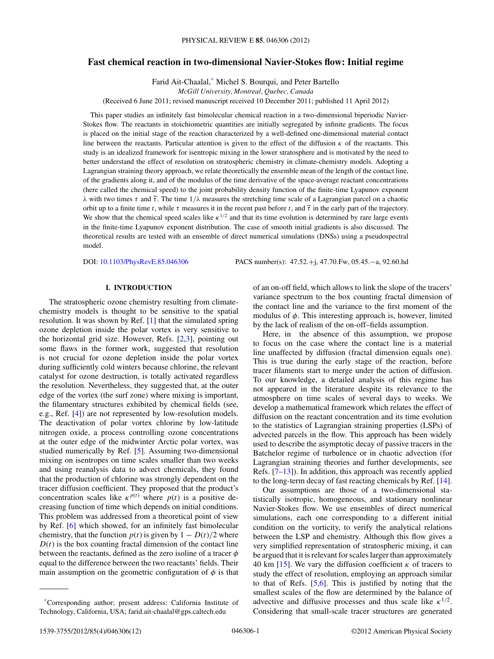# **Fast chemical reaction in two-dimensional Navier-Stokes flow: Initial regime**

Farid Ait-Chaalal,\* Michel S. Bourqui, and Peter Bartello

*McGill University, Montreal, Quebec, Canada*

(Received 6 June 2011; revised manuscript received 10 December 2011; published 11 April 2012)

This paper studies an infinitely fast bimolecular chemical reaction in a two-dimensional biperiodic Navier-Stokes flow. The reactants in stoichiometric quantities are initially segregated by infinite gradients. The focus is placed on the initial stage of the reaction characterized by a well-defined one-dimensional material contact line between the reactants. Particular attention is given to the effect of the diffusion *κ* of the reactants. This study is an idealized framework for isentropic mixing in the lower stratosphere and is motivated by the need to better understand the effect of resolution on stratospheric chemistry in climate-chemistry models. Adopting a Lagrangian straining theory approach, we relate theoretically the ensemble mean of the length of the contact line, of the gradients along it, and of the modulus of the time derivative of the space-average reactant concentrations (here called the chemical speed) to the joint probability density function of the finite-time Lyapunov exponent  $λ$  with two times *τ* and  $\tilde{\tau}$ . The time  $1/λ$  measures the stretching time scale of a Lagrangian parcel on a chaotic orbit up to a finite time *t*, while  $\tau$  measures it in the recent past before *t*, and  $\tilde{\tau}$  in the early part of the trajectory. We show that the chemical speed scales like  $\kappa^{1/2}$  and that its time evolution is determined by rare large events in the finite-time Lyapunov exponent distribution. The case of smooth initial gradients is also discussed. The theoretical results are tested with an ensemble of direct numerical simulations (DNSs) using a pseudospectral model.

DOI: [10.1103/PhysRevE.85.046306](http://dx.doi.org/10.1103/PhysRevE.85.046306) PACS number(s): 47*.*52*.*+j, 47*.*70*.*Fw, 05*.*45*.*−a, 92*.*60*.*hd

# **I. INTRODUCTION**

The stratospheric ozone chemistry resulting from climatechemistry models is thought to be sensitive to the spatial resolution. It was shown by Ref. [\[1\]](#page-11-0) that the simulated spring ozone depletion inside the polar vortex is very sensitive to the horizontal grid size. However, Refs. [\[2,3\]](#page-11-0), pointing out some flaws in the former work, suggested that resolution is not crucial for ozone depletion inside the polar vortex during sufficiently cold winters because chlorine, the relevant catalyst for ozone destruction, is totally activated regardless the resolution. Nevertheless, they suggested that, at the outer edge of the vortex (the surf zone) where mixing is important, the filamentary structures exhibited by chemical fields (see, e.g., Ref. [\[4\]](#page-11-0)) are not represented by low-resolution models. The deactivation of polar vortex chlorine by low-latitude nitrogen oxide, a process controlling ozone concentrations at the outer edge of the midwinter Arctic polar vortex, was studied numerically by Ref. [\[5\]](#page-11-0). Assuming two-dimensional mixing on isentropes on time scales smaller than two weeks and using reanalysis data to advect chemicals, they found that the production of chlorine was strongly dependent on the tracer diffusion coefficient. They proposed that the product's concentration scales like  $\kappa^{p(t)}$  where  $p(t)$  is a positive decreasing function of time which depends on initial conditions. This problem was addressed from a theoretical point of view by Ref. [\[6\]](#page-11-0) which showed, for an infinitely fast bimolecular chemistry, that the function  $p(t)$  is given by  $1 - D(t)/2$  where  $D(t)$  is the box counting fractal dimension of the contact line between the reactants, defined as the zero isoline of a tracer *φ* equal to the difference between the two reactants' fields. Their main assumption on the geometric configuration of  $\phi$  is that

\*Corresponding author; present address: California Institute of Technology, California, USA; farid.ait-chaalal@gps.caltech.edu

of an on-off field, which allows to link the slope of the tracers' variance spectrum to the box counting fractal dimension of the contact line and the variance to the first moment of the modulus of  $\phi$ . This interesting approach is, however, limited by the lack of realism of the on-off–fields assumption.

Here, in the absence of this assumption, we propose to focus on the case where the contact line is a material line unaffected by diffusion (fractal dimension equals one). This is true during the early stage of the reaction, before tracer filaments start to merge under the action of diffusion. To our knowledge, a detailed analysis of this regime has not appeared in the literature despite its relevance to the atmosphere on time scales of several days to weeks. We develop a mathematical framework which relates the effect of diffusion on the reactant concentration and its time evolution to the statistics of Lagrangian straining properties (LSPs) of advected parcels in the flow. This approach has been widely used to describe the asymptotic decay of passive tracers in the Batchelor regime of turbulence or in chaotic advection (for Lagrangian straining theories and further developments, see Refs.  $[7-13]$ ). In addition, this approach was recently applied to the long-term decay of fast reacting chemicals by Ref. [\[14\]](#page-11-0).

Our assumptions are those of a two-dimensional statistically isotropic, homogeneous, and stationary nonlinear Navier-Stokes flow. We use ensembles of direct numerical simulations, each one corresponding to a different initial condition on the vorticity, to verify the analytical relations between the LSP and chemistry. Although this flow gives a very simplified representation of stratospheric mixing, it can be argued that it is relevant for scales larger than approximately 40 km  $[15]$ . We vary the diffusion coefficient  $\kappa$  of tracers to study the effect of resolution, employing an approach similar to that of Refs. [\[5,6\]](#page-11-0). This is justified by noting that the smallest scales of the flow are determined by the balance of advective and diffusive processes and thus scale like  $\kappa^{1/2}$ . Considering that small-scale tracer structures are generated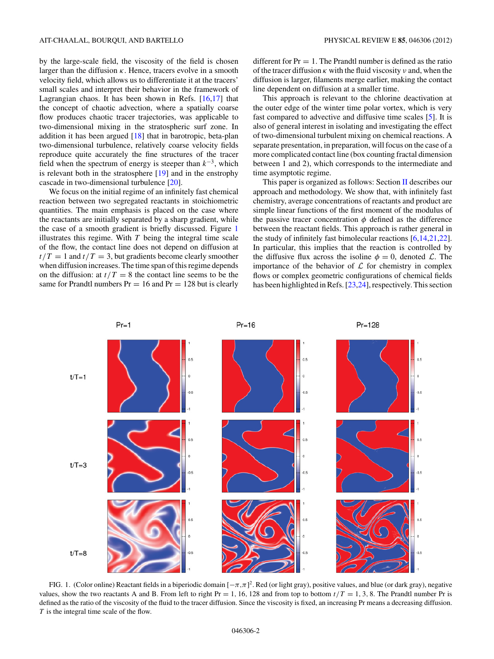by the large-scale field, the viscosity of the field is chosen larger than the diffusion *κ*. Hence, tracers evolve in a smooth velocity field, which allows us to differentiate it at the tracers' small scales and interpret their behavior in the framework of Lagrangian chaos. It has been shown in Refs.  $[16,17]$  that the concept of chaotic advection, where a spatially coarse flow produces chaotic tracer trajectories, was applicable to two-dimensional mixing in the stratospheric surf zone. In addition it has been argued  $[18]$  that in barotropic, beta-plan two-dimensional turbulence, relatively coarse velocity fields reproduce quite accurately the fine structures of the tracer field when the spectrum of energy is steeper than  $k^{-3}$ , which is relevant both in the stratosphere  $[19]$  and in the enstrophy cascade in two-dimensional turbulence [\[20\]](#page-11-0).

We focus on the initial regime of an infinitely fast chemical reaction between two segregated reactants in stoichiometric quantities. The main emphasis is placed on the case where the reactants are initially separated by a sharp gradient, while the case of a smooth gradient is briefly discussed. Figure 1 illustrates this regime. With  $T$  being the integral time scale of the flow, the contact line does not depend on diffusion at  $t/T = 1$  and  $t/T = 3$ , but gradients become clearly smoother when diffusion increases. The time span of this regime depends on the diffusion: at  $t/T = 8$  the contact line seems to be the same for Prandtl numbers  $Pr = 16$  and  $Pr = 128$  but is clearly

different for  $Pr = 1$ . The Prandtl number is defined as the ratio of the tracer diffusion *κ* with the fluid viscosity *ν* and, when the diffusion is larger, filaments merge earlier, making the contact line dependent on diffusion at a smaller time.

This approach is relevant to the chlorine deactivation at the outer edge of the winter time polar vortex, which is very fast compared to advective and diffusive time scales [\[5\]](#page-11-0). It is also of general interest in isolating and investigating the effect of two-dimensional turbulent mixing on chemical reactions. A separate presentation, in preparation, will focus on the case of a more complicated contact line (box counting fractal dimension between 1 and 2), which corresponds to the intermediate and time asymptotic regime.

This paper is organized as follows: Section [II](#page-2-0) describes our approach and methodology. We show that, with infinitely fast chemistry, average concentrations of reactants and product are simple linear functions of the first moment of the modulus of the passive tracer concentration  $\phi$  defined as the difference between the reactant fields. This approach is rather general in the study of infinitely fast bimolecular reactions [\[6,14,21,22\]](#page-11-0). In particular, this implies that the reaction is controlled by the diffusive flux across the isoline  $\phi = 0$ , denoted L. The importance of the behavior of  $\mathcal L$  for chemistry in complex flows or complex geometric configurations of chemical fields has been highlighted in Refs. [\[23,24\]](#page-11-0), respectively. This section



FIG. 1. (Color online) Reactant fields in a biperiodic domain [−*π,π*] 2. Red (or light gray), positive values, and blue (or dark gray), negative values, show the two reactants A and B. From left to right  $Pr = 1, 16, 128$  and from top to bottom  $t/T = 1, 3, 8$ . The Prandtl number Pr is defined as the ratio of the viscosity of the fluid to the tracer diffusion. Since the viscosity is fixed, an increasing Pr means a decreasing diffusion. *T* is the integral time scale of the flow.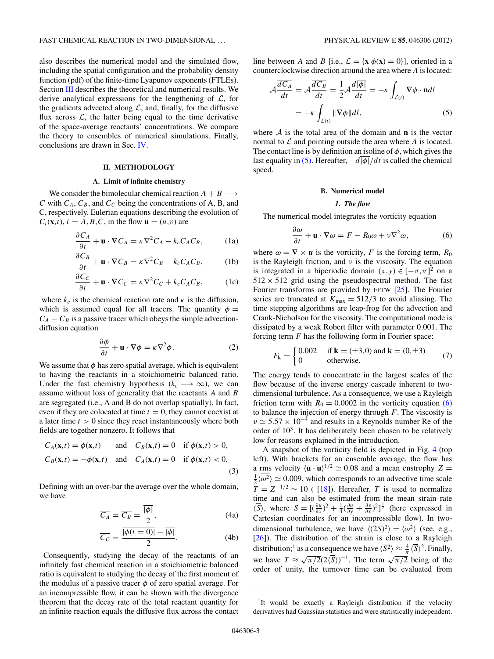<span id="page-2-0"></span>also describes the numerical model and the simulated flow, including the spatial configuration and the probability density function (pdf) of the finite-time Lyapunov exponents (FTLEs). Section [III](#page-5-0) describes the theoretical and numerical results. We derive analytical expressions for the lengthening of  $\mathcal{L}$ , for the gradients advected along  $\mathcal{L}$ , and, finally, for the diffusive flux across  $\mathcal{L}$ , the latter being equal to the time derivative of the space-average reactants' concentrations. We compare the theory to ensembles of numerical simulations. Finally, conclusions are drawn in Sec. [IV.](#page-10-0)

# **II. METHODOLOGY**

#### **A. Limit of infinite chemistry**

We consider the bimolecular chemical reaction  $A + B \longrightarrow$ *C* with  $C_A$ ,  $C_B$ , and  $C_C$  being the concentrations of A, B, and C, respectively. Eulerian equations describing the evolution of  $C_i(\mathbf{x},t)$ ,  $i = A, B, C$ , in the flow  $\mathbf{u} = (u, v)$  are

$$
\frac{\partial C_A}{\partial t} + \mathbf{u} \cdot \nabla C_A = \kappa \nabla^2 C_A - k_c C_A C_B, \quad (1a)
$$

$$
\frac{\partial C_B}{\partial t} + \mathbf{u} \cdot \nabla C_B = \kappa \nabla^2 C_B - k_c C_A C_B, \quad (1b)
$$

$$
\frac{\partial C_C}{\partial t} + \mathbf{u} \cdot \nabla C_C = \kappa \nabla^2 C_C + k_c C_A C_B, \quad (1c)
$$

where  $k_c$  is the chemical reaction rate and  $\kappa$  is the diffusion, which is assumed equal for all tracers. The quantity  $\phi =$  $C_A - C_B$  is a passive tracer which obeys the simple advectiondiffusion equation

$$
\frac{\partial \phi}{\partial t} + \mathbf{u} \cdot \nabla \phi = \kappa \nabla^2 \phi.
$$
 (2)

We assume that  $\phi$  has zero spatial average, which is equivalent to having the reactants in a stoichiometric balanced ratio. Under the fast chemistry hypothesis  $(k_c \rightarrow \infty)$ , we can assume without loss of generality that the reactants *A* and *B* are segregated (i.e., A and B do not overlap spatially). In fact, even if they are colocated at time  $t = 0$ , they cannot coexist at a later time *t >* 0 since they react instantaneously where both fields are together nonzero. It follows that

$$
C_A(\mathbf{x},t) = \phi(\mathbf{x},t) \quad \text{and} \quad C_B(\mathbf{x},t) = 0 \quad \text{if } \phi(\mathbf{x},t) > 0,
$$
  

$$
C_B(\mathbf{x},t) = -\phi(\mathbf{x},t) \quad \text{and} \quad C_A(\mathbf{x},t) = 0 \quad \text{if } \phi(\mathbf{x},t) < 0.
$$
  
(3)

Defining with an over-bar the average over the whole domain, we have

$$
\overline{C_A} = \overline{C_B} = \frac{\overline{|\phi|}}{2},\tag{4a}
$$

$$
\overline{C_C} = \frac{\overline{|\phi(t=0)|} - \overline{|\phi|}}{2}.
$$
 (4b)

Consequently, studying the decay of the reactants of an infinitely fast chemical reaction in a stoichiometric balanced ratio is equivalent to studying the decay of the first moment of the modulus of a passive tracer  $\phi$  of zero spatial average. For an incompressible flow, it can be shown with the divergence theorem that the decay rate of the total reactant quantity for an infinite reaction equals the diffusive flux across the contact line between *A* and *B* [i.e.,  $\mathcal{L} = {\mathbf{x} | \phi(\mathbf{x}) = 0}$ ], oriented in a counterclockwise direction around the area where *A* is located:

$$
\mathcal{A}\frac{\overline{dC_A}}{dt} = \mathcal{A}\frac{\overline{dC_B}}{dt} = \frac{1}{2}\mathcal{A}\frac{d|\overline{\phi}|}{dt} = -\kappa \int_{\mathcal{L}(t)} \nabla \phi \cdot \mathbf{n}dl
$$

$$
= -\kappa \int_{\mathcal{L}(t)} \|\nabla \phi\| dl, \tag{5}
$$

where A is the total area of the domain and **n** is the vector normal to  $\mathcal L$  and pointing outside the area where  $A$  is located. The contact line is by definition an isoline of *φ*, which gives the last equality in (5). Hereafter,  $-d\overline{|\phi|}/dt$  is called the chemical speed.

## **B. Numerical model**

#### *1. The flow*

The numerical model integrates the vorticity equation

$$
\frac{\partial \omega}{\partial t} + \mathbf{u} \cdot \nabla \omega = F - R_0 \omega + \nu \nabla^2 \omega,
$$
 (6)

where  $\omega = \nabla \times u$  is the vorticity, *F* is the forcing term,  $R_0$ is the Rayleigh friction, and *ν* is the viscosity. The equation is integrated in a biperiodic domain  $(x, y) \in [-\pi, \pi]^2$  on a  $512 \times 512$  grid using the pseudospectral method. The fast Fourier transforms are provided by FFTW [\[25\]](#page-11-0). The Fourier series are truncated at  $K_{\text{max}} = 512/3$  to avoid aliasing. The time stepping algorithms are leap-frog for the advection and Crank-Nicholson for the viscosity. The computational mode is dissipated by a weak Robert filter with parameter 0*.*001. The forcing term *F* has the following form in Fourier space:

$$
F_{\mathbf{k}} = \begin{cases} 0.002 & \text{if } \mathbf{k} = (\pm 3, 0) \text{ and } \mathbf{k} = (0, \pm 3) \\ 0 & \text{otherwise.} \end{cases}
$$
 (7)

The energy tends to concentrate in the largest scales of the flow because of the inverse energy cascade inherent to twodimensional turbulence. As a consequence, we use a Rayleigh friction term with  $R_0 = 0.0002$  in the vorticity equation (6) to balance the injection of energy through *F*. The viscosity is  $\nu \simeq 5.57 \times 10^{-4}$  and results in a Reynolds number Re of the order of  $10<sup>3</sup>$ . It has deliberately been chosen to be relatively low for reasons explained in the introduction.

A snapshot of the vorticity field is depicted in Fig. [4](#page-4-0) (top left). With brackets for an ensemble average, the flow has a rms velocity  $\langle \overline{\mathbf{u} \cdot \mathbf{u}} \rangle^{1/2} \simeq 0.08$  and a mean enstrophy  $Z =$  $\frac{1}{2}\langle \overline{\omega^2} \rangle \simeq 0.009$ , which corresponds to an advective time scale  $\overline{T} = Z^{-1/2} \sim 10$  ( [\[18\]](#page-11-0)). Hereafter, *T* is used to normalize time and can also be estimated from the mean strain rate  $\langle \overline{S} \rangle$ , where  $S = [(\frac{\partial u}{\partial x})^2 + \frac{1}{4}(\frac{\partial u}{\partial y} + \frac{\partial v}{\partial x})^2]^{\frac{1}{2}}$  (here expressed in Cartesian coordinates for an incompressible flow). In twodimensional turbulence, we have  $\langle (2S)^2 \rangle = \langle \omega^2 \rangle$  (see, e.g., [\[26\]](#page-11-0)). The distribution of the strain is close to a Rayleigh distribution;<sup>1</sup> as a consequence we have  $\langle \overline{S^2} \rangle \approx \frac{4}{\pi} \langle \overline{S} \rangle^2$ . Finally, we have  $T \approx \sqrt{\pi/2} (2\langle \overline{S} \rangle)^{-1}$ . The term  $\sqrt{\pi/2}$  being of the order of unity, the turnover time can be evaluated from

<sup>&</sup>lt;sup>1</sup>It would be exactly a Rayleigh distribution if the velocity derivatives had Gaussian statistics and were statistically independent.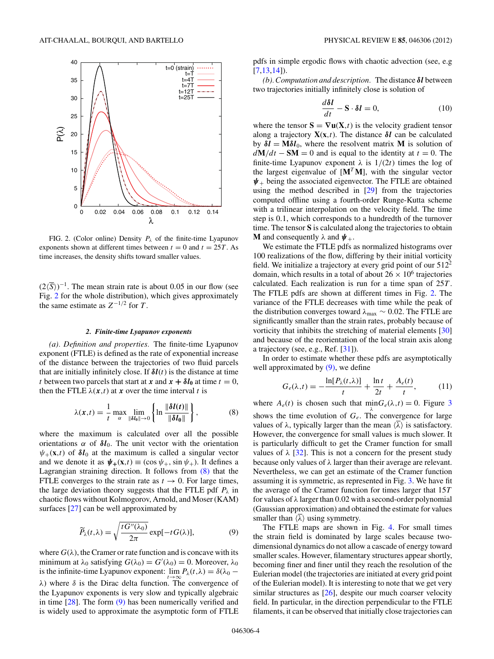<span id="page-3-0"></span>

FIG. 2. (Color online) Density  $P_{\lambda}$  of the finite-time Lyapunov exponents shown at different times between  $t = 0$  and  $t = 25T$ . As time increases, the density shifts toward smaller values.

 $(2\langle \overline{S}\rangle)^{-1}$ . The mean strain rate is about 0.05 in our flow (see Fig. 2 for the whole distribution), which gives approximately the same estimate as  $Z^{-1/2}$  for  $T$ .

### *2. Finite-time Lyapunov exponents*

*(a). Definition and properties.* The finite-time Lyapunov exponent (FTLE) is defined as the rate of exponential increase of the distance between the trajectories of two fluid parcels that are initially infinitely close. If  $\delta l(t)$  is the distance at time *t* between two parcels that start at *x* and  $x + \delta l_0$  at time  $t = 0$ , then the FTLE  $\lambda(x,t)$  at *x* over the time interval *t* is

$$
\lambda(x,t) = \frac{1}{t} \max_{\alpha} \lim_{\|\delta I_0\| \to 0} \left\{ \ln \frac{\|\delta I(t)\|}{\|\delta I_0\|} \right\},\tag{8}
$$

where the maximum is calculated over all the possible orientations  $\alpha$  of  $\delta l_0$ . The unit vector with the orientation  $\psi_{+}(\mathbf{x},t)$  of  $\delta l_0$  at the maximum is called a singular vector and we denote it as  $\psi_+(\mathbf{x},t) \equiv (\cos \psi_+, \sin \psi_+)$ . It defines a Lagrangian straining direction. It follows from (8) that the FTLE converges to the strain rate as  $t \to 0$ . For large times, the large deviation theory suggests that the FTLE pdf  $P_\lambda$  in chaotic flows without Kolmogorov, Arnold, and Moser (KAM) surfaces [\[27\]](#page-11-0) can be well approximated by

$$
\widetilde{P}_{\lambda}(t,\lambda) = \sqrt{\frac{tG''(\lambda_0)}{2\pi}} \exp[-tG(\lambda)],\tag{9}
$$

where  $G(\lambda)$ , the Cramer or rate function and is concave with its minimum at  $\lambda_0$  satisfying  $G(\lambda_0) = G'(\lambda_0) = 0$ . Moreover,  $\lambda_0$ is the infinite-time Lyapunov exponent:  $\lim_{\lambda \to 0} P_{\lambda}(t,\lambda) = \delta(\lambda_0 - \lambda_0 t)$ *λ*) where *δ* is the Dirac delta function. The convergence of the Lyapunov exponents is very slow and typically algebraic in time  $[28]$ . The form  $(9)$  has been numerically verified and is widely used to approximate the asymptotic form of FTLE

pdfs in simple ergodic flows with chaotic advection (see, e.g  $[7,13,14]$ .

*(b). Computation and description.* The distance *δl* between two trajectories initially infinitely close is solution of

$$
\frac{d\delta l}{dt} - \mathbf{S} \cdot \delta l = 0,\t(10)
$$

where the tensor  $S = \nabla u(X,t)$  is the velocity gradient tensor along a trajectory  $\mathbf{X}(\mathbf{x},t)$ . The distance  $\delta \mathbf{l}$  can be calculated by  $\delta l = M \delta l_0$ , where the resolvent matrix **M** is solution of  $dM/dt - SM = 0$  and is equal to the identity at  $t = 0$ . The finite-time Lyapunov exponent  $\lambda$  is  $1/(2t)$  times the log of the largest eigenvalue of  $[M^T M]$ , with the singular vector *ψ*<sup>+</sup> being the associated eigenvector. The FTLE are obtained using the method described in [\[29\]](#page-11-0) from the trajectories computed offline using a fourth-order Runge-Kutta scheme with a trilinear interpolation on the velocity field. The time step is 0*.*1, which corresponds to a hundredth of the turnover time. The tensor **S** is calculated along the trajectories to obtain **M** and consequently  $\lambda$  and  $\psi_+$ .

We estimate the FTLE pdfs as normalized histograms over 100 realizations of the flow, differing by their initial vorticity field. We initialize a trajectory at every grid point of our  $512<sup>2</sup>$ domain, which results in a total of about  $26 \times 10^6$  trajectories calculated. Each realization is run for a time span of 25*T* . The FTLE pdfs are shown at different times in Fig. 2. The variance of the FTLE decreases with time while the peak of the distribution converges toward *λ*max ∼ 0*.*02. The FTLE are significantly smaller than the strain rates, probably because of vorticity that inhibits the stretching of material elements [\[30\]](#page-11-0) and because of the reorientation of the local strain axis along a trajectory (see, e.g., Ref. [\[31\]](#page-11-0)).

In order to estimate whether these pdfs are asymptotically well approximated by  $(9)$ , we define

$$
G_e(\lambda, t) = -\frac{\ln[P_\lambda(t, \lambda)]}{t} + \frac{\ln t}{2t} + \frac{A_e(t)}{t},\qquad(11)
$$

where  $A_e(t)$  is chosen such that  $\min G_e(\lambda, t) = 0$ . Figure [3](#page-4-0) shows the time evolution of  $G_e$ . The convergence for large values of  $\lambda$ , typically larger than the mean  $\langle \overline{\lambda} \rangle$  is satisfactory. However, the convergence for small values is much slower. It is particularly difficult to get the Cramer function for small values of  $\lambda$  [\[32\]](#page-11-0). This is not a concern for the present study because only values of *λ* larger than their average are relevant. Nevertheless, we can get an estimate of the Cramer function assuming it is symmetric, as represented in Fig. [3.](#page-4-0) We have fit the average of the Cramer function for times larger that 15*T* for values of *λ* larger than 0*.*02 with a second-order polynomial (Gaussian approximation) and obtained the estimate for values smaller than  $\langle \lambda \rangle$  using symmetry.

The FTLE maps are shown in Fig. [4.](#page-4-0) For small times the strain field is dominated by large scales because twodimensional dynamics do not allow a cascade of energy toward smaller scales. However, filamentary structures appear shortly, becoming finer and finer until they reach the resolution of the Eulerian model (the trajectories are initiated at every grid point of the Eulerian model). It is interesting to note that we get very similar structures as [\[26\]](#page-11-0), despite our much coarser velocity field. In particular, in the direction perpendicular to the FTLE filaments, it can be observed that initially close trajectories can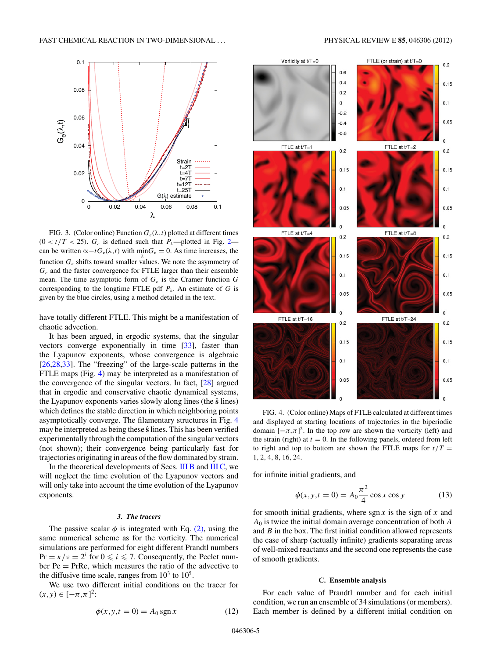<span id="page-4-0"></span>

FIG. 3. (Color online) Function  $G_e(\lambda, t)$  plotted at different times  $(0 < t/T < 25)$ .  $G_e$  is defined such that  $P_\lambda$ —plotted in Fig. [2](#page-3-0) can be written  $\propto$ −*t* $G_e(\lambda, t)$  with min $G_e = 0$ . As time increases, the function *Ge* shifts toward smaller values. We note the asymmetry of *Ge* and the faster convergence for FTLE larger than their ensemble mean. The time asymptotic form of *Ge* is the Cramer function *G* corresponding to the longtime FTLE pdf  $P_\lambda$ . An estimate of *G* is given by the blue circles, using a method detailed in the text.

have totally different FTLE. This might be a manifestation of chaotic advection.

It has been argued, in ergodic systems, that the singular vectors converge exponentially in time [\[33\]](#page-11-0), faster than the Lyapunov exponents, whose convergence is algebraic [\[26,28,33\]](#page-11-0). The "freezing" of the large-scale patterns in the FTLE maps (Fig. 4) may be interpreted as a manifestation of the convergence of the singular vectors. In fact, [\[28\]](#page-11-0) argued that in ergodic and conservative chaotic dynamical systems, the Lyapunov exponents varies slowly along lines (the **sˆ** lines) which defines the stable direction in which neighboring points asymptotically converge. The filamentary structures in Fig. 4 may be interpreted as being these **sˆ** lines. This has been verified experimentally through the computation of the singular vectors (not shown); their convergence being particularly fast for trajectories originating in areas of the flow dominated by strain.

In the theoretical developments of Secs. [III B](#page-6-0) and [III C,](#page-9-0) we will neglect the time evolution of the Lyapunov vectors and will only take into account the time evolution of the Lyapunov exponents.

# *3. The tracers*

The passive scalar  $\phi$  is integrated with Eq. [\(2\),](#page-2-0) using the same numerical scheme as for the vorticity. The numerical simulations are performed for eight different Prandtl numbers  $Pr = \kappa/\nu = 2^i$  for  $0 \le i \le 7$ . Consequently, the Peclet number  $Pe = PrRe$ , which measures the ratio of the advective to the diffusive time scale, ranges from  $10^3$  to  $10^5$ .

We use two different initial conditions on the tracer for (*x,y*) ∈ [−*π,π*] 2:

$$
\phi(x, y, t = 0) = A_0 \operatorname{sgn} x \tag{12}
$$



FIG. 4. (Color online) Maps of FTLE calculated at different times and displayed at starting locations of trajectories in the biperiodic domain  $[-\pi,\pi]^2$ . In the top row are shown the vorticity (left) and the strain (right) at  $t = 0$ . In the following panels, ordered from left to right and top to bottom are shown the FTLE maps for  $t/T =$ 1*,* 2*,* 4*,* 8*,* 16*,* 24.

for infinite initial gradients, and

$$
\phi(x, y, t = 0) = A_0 \frac{\pi^2}{4} \cos x \cos y \tag{13}
$$

for smooth initial gradients, where sgn *x* is the sign of *x* and *A*<sup>0</sup> is twice the initial domain average concentration of both *A* and *B* in the box. The first initial condition allowed represents the case of sharp (actually infinite) gradients separating areas of well-mixed reactants and the second one represents the case of smooth gradients.

## **C. Ensemble analysis**

For each value of Prandtl number and for each initial condition, we run an ensemble of 34 simulations (or members). Each member is defined by a different initial condition on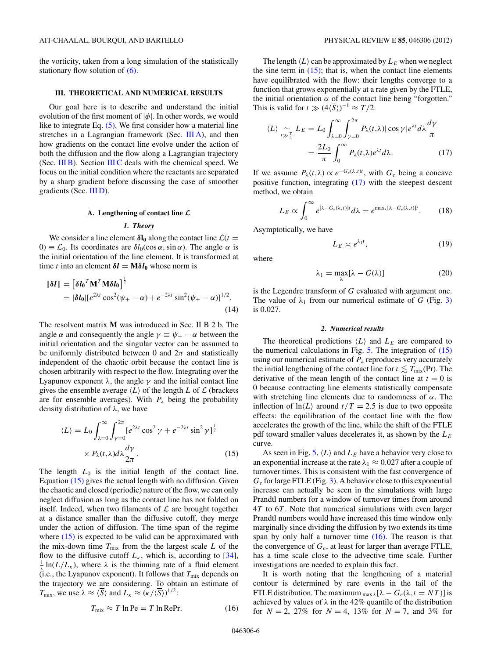<span id="page-5-0"></span>the vorticity, taken from a long simulation of the statistically stationary flow solution of [\(6\).](#page-2-0)

## **III. THEORETICAL AND NUMERICAL RESULTS**

Our goal here is to describe and understand the initial evolution of the first moment of  $|\phi|$ . In other words, we would like to integrate Eq. [\(5\).](#page-2-0) We first consider how a material line stretches in a Lagrangian framework (Sec.  $III A$ ), and then how gradients on the contact line evolve under the action of both the diffusion and the flow along a Lagrangian trajectory (Sec.  $III$ B). Section  $III$ C deals with the chemical speed. We focus on the initial condition where the reactants are separated by a sharp gradient before discussing the case of smoother gradients (Sec. [III D\)](#page-9-0).

## **A. Lengthening of contact line** *L*

#### *1. Theory*

We consider a line element  $\delta l_0$  along the contact line  $\mathcal{L}(t =$  $0 \equiv \mathcal{L}_0$ . Its coordinates are  $\delta l_0(\cos \alpha, \sin \alpha)$ . The angle *α* is the initial orientation of the line element. It is transformed at time *t* into an element  $\delta l = M \delta l_0$  whose norm is

$$
\|\boldsymbol{\delta}\boldsymbol{l}\| = \left[\delta \boldsymbol{l_0}^T \mathbf{M}^T \mathbf{M} \delta \boldsymbol{l_0}\right]^{\frac{1}{2}}
$$
  
= 
$$
|\delta \boldsymbol{l_0}| [e^{2\lambda t} \cos^2(\psi_+ - \alpha) + e^{-2\lambda t} \sin^2(\psi_+ - \alpha)]^{1/2}.
$$
 (14)

The resolvent matrix **M** was introduced in Sec. II B 2 b. The angle  $\alpha$  and consequently the angle  $\gamma \equiv \psi_+ - \alpha$  between the initial orientation and the singular vector can be assumed to be uniformly distributed between 0 and  $2\pi$  and statistically independent of the chaotic orbit because the contact line is chosen arbitrarily with respect to the flow. Integrating over the Lyapunov exponent  $λ$ , the angle  $γ$  and the initial contact line gives the ensemble average  $\langle L \rangle$  of the length *L* of  $\mathcal L$  (brackets are for ensemble averages). With  $P_\lambda$  being the probability density distribution of *λ*, we have

$$
\langle L \rangle = L_0 \int_{\lambda=0}^{\infty} \int_{\gamma=0}^{2\pi} [e^{2\lambda t} \cos^2 \gamma + e^{-2\lambda t} \sin^2 \gamma]^\frac{1}{2}
$$

$$
\times P_{\lambda}(t, \lambda) d\lambda \frac{d\gamma}{2\pi}.
$$
 (15)

The length  $L_0$  is the initial length of the contact line. Equation (15) gives the actual length with no diffusion. Given the chaotic and closed (periodic) nature of the flow, we can only neglect diffusion as long as the contact line has not folded on itself. Indeed, when two filaments of  $\mathcal L$  are brought together at a distance smaller than the diffusive cutoff, they merge under the action of diffusion. The time span of the regime where  $(15)$  is expected to be valid can be approximated with the mix-down time  $T_{\text{mix}}$  from the the largest scale  $L$  of the flow to the diffusive cutoff  $L_k$ , which is, according to [\[34\]](#page-11-0),  $\frac{1}{\lambda} \ln(L/L_{\kappa})$ , where  $\lambda$  is the thinning rate of a fluid element  $(i.e., the Lyapunov exponent)$ . It follows that  $T<sub>mix</sub>$  depends on the trajectory we are considering. To obtain an estimate of *T*<sub>mix</sub>, we use  $\lambda \approx \langle \overline{S} \rangle$  and  $L_{\kappa} \approx (\kappa / \langle \overline{S} \rangle)^{1/2}$ :

$$
T_{\text{mix}} \approx T \ln \text{Pe} = T \ln \text{Re} \text{Pr}. \tag{16}
$$

The length  $\langle L \rangle$  can be approximated by  $L<sub>E</sub>$  when we neglect the sine term in  $(15)$ ; that is, when the contact line elements have equilibrated with the flow: their lengths converge to a function that grows exponentially at a rate given by the FTLE, the initial orientation  $\alpha$  of the contact line being "forgotten." This is valid for  $t \gg (4\langle \overline{S} \rangle)^{-1} \approx T/2$ :

$$
\langle L \rangle \underset{t \gg \frac{T}{2}}{\sim} L_E = L_0 \int_{\lambda=0}^{\infty} \int_{\gamma=0}^{2\pi} P_{\lambda}(t,\lambda) |\cos \gamma| e^{\lambda t} d\lambda \frac{d\gamma}{\pi}
$$

$$
= \frac{2L_0}{\pi} \int_0^{\infty} P_{\lambda}(t,\lambda) e^{\lambda t} d\lambda. \tag{17}
$$

If we assume  $P_{\lambda}(t,\lambda) \propto e^{-G_e(\lambda,t)t}$ , with  $G_e$  being a concave positive function, integrating (17) with the steepest descent method, we obtain

$$
L_E \propto \int_0^\infty e^{[\lambda - G_e(\lambda, t)]t} d\lambda = e^{\max_\lambda [\lambda - G_e(\lambda, t)]t}.
$$
 (18)

Asymptotically, we have

$$
L_E \asymp e^{\lambda_1 t},\tag{19}
$$

where

$$
\lambda_1 = \max_{\lambda} [\lambda - G(\lambda)] \tag{20}
$$

is the Legendre transform of *G* evaluated with argument one. The value of  $\lambda_1$  from our numerical estimate of *G* (Fig. [3\)](#page-4-0) is 0*.*027.

#### *2. Numerical results*

The theoretical predictions  $\langle L \rangle$  and  $L_E$  are compared to the numerical calculations in Fig.  $5$ . The integration of  $(15)$ using our numerical estimate of  $P_\lambda$  reproduces very accurately the initial lengthening of the contact line for  $t \lesssim T_{\text{mix}}(Pr)$ . The derivative of the mean length of the contact line at  $t = 0$  is 0 because contracting line elements statistically compensate with stretching line elements due to randomness of *α*. The inflection of  $\ln\langle L \rangle$  around  $t/T = 2.5$  is due to two opposite effects: the equilibration of the contact line with the flow accelerates the growth of the line, while the shift of the FTLE pdf toward smaller values decelerates it, as shown by the *LE* curve.

As seen in Fig. [5,](#page-6-0)  $\langle L \rangle$  and  $L_E$  have a behavior very close to an exponential increase at the rate  $\lambda_1 \approx 0.027$  after a couple of turnover times. This is consistent with the fast convergence of *Ge* for large FTLE (Fig. [3\)](#page-4-0). A behavior close to this exponential increase can actually be seen in the simulations with large Prandtl numbers for a window of turnover times from around 4*T* to 6*T* . Note that numerical simulations with even larger Prandtl numbers would have increased this time window only marginally since dividing the diffusion by two extends its time span by only half a turnover time  $(16)$ . The reason is that the convergence of  $G_e$ , at least for larger than average FTLE, has a time scale close to the advective time scale. Further investigations are needed to explain this fact.

It is worth noting that the lengthening of a material contour is determined by rare events in the tail of the FTLE distribution. The maximum  $\max_{\text{max }\lambda}[\lambda - G_e(\lambda, t = NT)]$  is achieved by values of  $\lambda$  in the 42% quantile of the distribution for  $N = 2$ , 27% for  $N = 4$ , 13% for  $N = 7$ , and 3% for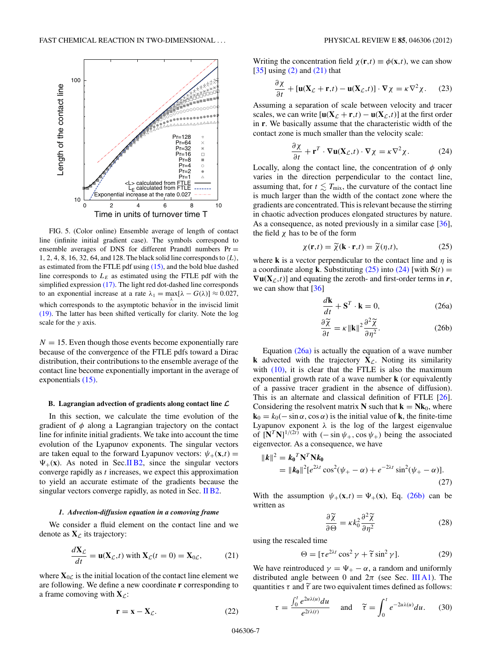<span id="page-6-0"></span>

FIG. 5. (Color online) Ensemble average of length of contact line (infinite initial gradient case). The symbols correspond to ensemble averages of DNS for different Prandtl numbers  $Pr =$ 1, 2, 4, 8, 16, 32, 64, and 128. The black solid line corresponds to  $\langle L \rangle$ , as estimated from the FTLE pdf using [\(15\),](#page-5-0) and the bold blue dashed line corresponds to  $L<sub>E</sub>$  as estimated using the FTLE pdf with the simplified expression [\(17\).](#page-5-0) The light red dot-dashed line corresponds to an exponential increase at a rate  $\lambda_1 = \max[\lambda - G(\lambda)] \approx 0.027$ , which corresponds to the asymptotic behavior in the inviscid limit [\(19\).](#page-5-0) The latter has been shifted vertically for clarity. Note the log scale for the *y* axis.

 $N = 15$ . Even though those events become exponentially rare because of the convergence of the FTLE pdfs toward a Dirac distribution, their contributions to the ensemble average of the contact line become exponentially important in the average of exponentials [\(15\).](#page-5-0)

## **B. Lagrangian advection of gradients along contact line** *L*

In this section, we calculate the time evolution of the gradient of *φ* along a Lagrangian trajectory on the contact line for infinite initial gradients. We take into account the time evolution of the Lyapunov exponents. The singular vectors are taken equal to the forward Lyapunov vectors:  $\psi_+(\mathbf{x},t) =$  $\Psi_{+}(\mathbf{x})$ . As noted in Sec[.II B2,](#page-3-0) since the singular vectors converge rapidly as *t* increases, we expect this approximation to yield an accurate estimate of the gradients because the singular vectors converge rapidly, as noted in Sec. [II B2.](#page-3-0)

## *1. Advection-diffusion equation in a comoving frame*

We consider a fluid element on the contact line and we denote as  $\mathbf{X}_{\mathcal{L}}$  its trajectory:

$$
\frac{d\mathbf{X}_{\mathcal{L}}}{dt} = \mathbf{u}(\mathbf{X}_{\mathcal{L}}, t) \text{ with } \mathbf{X}_{\mathcal{L}}(t=0) = \mathbf{X}_{0\mathcal{L}},\tag{21}
$$

where  $X_{0\mathcal{L}}$  is the initial location of the contact line element we are following. We define a new coordinate **r** corresponding to a frame comoving with  $X_{\mathcal{L}}$ :

$$
\mathbf{r} = \mathbf{x} - \mathbf{X}_{\mathcal{L}}.\tag{22}
$$

Writing the concentration field  $\chi(\mathbf{r},t) \equiv \phi(\mathbf{x},t)$ , we can show  $[35]$  using  $(2)$  and  $(21)$  that

$$
\frac{\partial \chi}{\partial t} + [\mathbf{u}(\mathbf{X}_{\mathcal{L}} + \mathbf{r}, t) - \mathbf{u}(\mathbf{X}_{\mathcal{L}}, t)] \cdot \nabla \chi = \kappa \nabla^2 \chi. \tag{23}
$$

Assuming a separation of scale between velocity and tracer scales, we can write  $[\mathbf{u}(\mathbf{X}_{\mathcal{L}} + \mathbf{r}, t) - \mathbf{u}(\mathbf{X}_{\mathcal{L}}, t)]$  at the first order in **r**. We basically assume that the characteristic width of the contact zone is much smaller than the velocity scale:

$$
\frac{\partial \chi}{\partial t} + \mathbf{r}^T \cdot \nabla \mathbf{u}(\mathbf{X}_{\mathcal{L}}, t) \cdot \nabla \chi = \kappa \nabla^2 \chi.
$$
 (24)

Locally, along the contact line, the concentration of  $\phi$  only varies in the direction perpendicular to the contact line, assuming that, for  $t \lesssim T_{\text{mix}}$ , the curvature of the contact line is much larger than the width of the contact zone where the gradients are concentrated. This is relevant because the stirring in chaotic advection produces elongated structures by nature. As a consequence, as noted previously in a similar case [\[36\]](#page-11-0), the field *χ* has to be of the form

$$
\chi(\mathbf{r},t) = \widetilde{\chi}(\mathbf{k}\cdot\mathbf{r},t) = \widetilde{\chi}(\eta,t),\tag{25}
$$

where **k** is a vector perpendicular to the contact line and *η* is a coordinate along **k**. Substituting  $(25)$  into  $(24)$  [with  $S(t) =$  $\nabla$ **u**( $X$ <sub>*C*</sub>,*t*)] and equating the zeroth- and first-order terms in *r*, we can show that [\[36\]](#page-11-0)

$$
\frac{d\mathbf{k}}{dt} + \mathbf{S}^T \cdot \mathbf{k} = 0,
$$
 (26a)

$$
\frac{\partial \widetilde{\chi}}{\partial t} = \kappa \left\| \mathbf{k} \right\|^2 \frac{\partial^2 \widetilde{\chi}}{\partial \eta^2}.
$$
 (26b)

Equation  $(26a)$  is actually the equation of a wave number **k** advected with the trajectory  $X_{\mathcal{L}}$ . Noting its similarity with  $(10)$ , it is clear that the FTLE is also the maximum exponential growth rate of a wave number **k** (or equivalently of a passive tracer gradient in the absence of diffusion). This is an alternate and classical definition of FTLE [\[26\]](#page-11-0). Considering the resolvent matrix **N** such that  $\mathbf{k} = \mathbf{N}\mathbf{k}_0$ , where  $\mathbf{k}_0 = k_0(-\sin \alpha, \cos \alpha)$  is the initial value of **k**, the finite-time Lyapunov exponent  $\lambda$  is the log of the largest eigenvalue of  $[N^T N]^{1/(2t)}$  with  $(-\sin \psi_+, \cos \psi_+)$  being the associated eigenvector. As a consequence, we have

$$
||\mathbf{k}||^2 = \mathbf{k_0}^T \mathbf{N}^T \mathbf{N} \mathbf{k_0}
$$
  
=  $||\mathbf{k_0}||^2 [e^{2\lambda t} \cos^2(\psi_+ - \alpha) + e^{-2\lambda t} \sin^2(\psi_+ - \alpha)].$  (27)

With the assumption  $\psi_+(\mathbf{x},t) = \Psi_+(\mathbf{x})$ , Eq. (26b) can be written as

$$
\frac{\partial \widetilde{\chi}}{\partial \Theta} = \kappa k_0^2 \frac{\partial^2 \widetilde{\chi}}{\partial \eta^2}
$$
 (28)

using the rescaled time

$$
\Theta = [\tau e^{2\lambda t} \cos^2 \gamma + \tilde{\tau} \sin^2 \gamma]. \tag{29}
$$

We have reintroduced  $\gamma = \Psi_+ - \alpha$ , a random and uniformly distributed angle between 0 and  $2\pi$  (see Sec. [III A1\)](#page-5-0). The quantities  $\tau$  and  $\tilde{\tau}$  are two equivalent times defined as follows:

$$
\tau = \frac{\int_0^t e^{2u\lambda(u)} du}{e^{2t\lambda(t)}} \quad \text{and} \quad \tilde{\tau} = \int_0^t e^{-2u\lambda(u)} du. \quad (30)
$$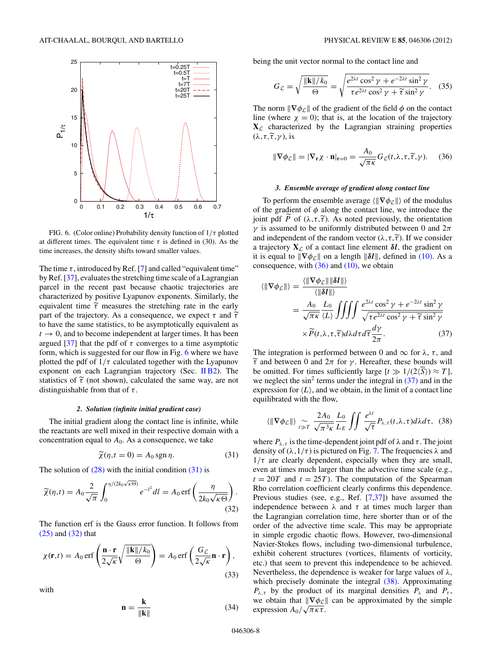<span id="page-7-0"></span>

FIG. 6. (Color online) Probability density function of 1*/τ* plotted at different times. The equivalent time  $\tau$  is defined in (30). As the time increases, the density shifts toward smaller values.

The time  $\tau$ , introduced by Ref. [\[7\]](#page-11-0) and called "equivalent time" by Ref. [\[37\]](#page-11-0), evaluates the stretching time scale of a Lagrangian parcel in the recent past because chaotic trajectories are characterized by positive Lyapunov exponents. Similarly, the equivalent time  $\tilde{\tau}$  measures the stretching rate in the early part of the trajectory. As a consequence, we expect  $\tau$  and  $\tilde{\tau}$  to have the same etatistics to be expected in conjugator of to have the same statistics, to be asymptotically equivalent as  $t \rightarrow 0$ , and to become independent at larger times. It has been argued [\[37\]](#page-11-0) that the pdf of  $τ$  converges to a time asymptotic form, which is suggested for our flow in Fig. 6 where we have plotted the pdf of  $1/\tau$  calculated together with the Lyapunov exponent on each Lagrangian trajectory (Sec. [II B2\)](#page-3-0). The statistics of  $\tilde{\tau}$  (not shown), calculated the same way, are not<br>distinguished from that of  $\tau$ . distinguishable from that of *τ* .

# *2. Solution (infinite initial gradient case)*

The initial gradient along the contact line is infinite, while the reactants are well mixed in their respective domain with a concentration equal to  $A_0$ . As a consequence, we take

$$
\widetilde{\chi}(\eta, t = 0) = A_0 \operatorname{sgn} \eta. \tag{31}
$$

The solution of  $(28)$  with the initial condition  $(31)$  is

$$
\widetilde{\chi}(\eta, t) = A_0 \frac{2}{\sqrt{\pi}} \int_0^{\eta/(2k_0\sqrt{\kappa \Theta})} e^{-l^2} dl = A_0 \operatorname{erf}\left(\frac{\eta}{2k_0\sqrt{\kappa \Theta}}\right).
$$
\n(32)

The function erf is the Gauss error function. It follows from [\(25\)](#page-6-0) and (32) that

$$
\chi(\mathbf{r},t) = A_0 \operatorname{erf}\left(\frac{\mathbf{n} \cdot \mathbf{r}}{2\sqrt{\kappa}} \sqrt{\frac{\|\mathbf{k}\|/k_0}{\Theta}}\right) = A_0 \operatorname{erf}\left(\frac{G_{\mathcal{L}}}{2\sqrt{\kappa}} \mathbf{n} \cdot \mathbf{r}\right),\tag{33}
$$

with

$$
\mathbf{n} = \frac{\mathbf{k}}{\|\mathbf{k}\|} \tag{34}
$$

being the unit vector normal to the contact line and

$$
G_{\mathcal{L}} = \sqrt{\frac{\|\mathbf{k}\|/k_0}{\Theta}} = \sqrt{\frac{e^{2\lambda t} \cos^2 \gamma + e^{-2\lambda t} \sin^2 \gamma}{\tau e^{2\lambda t} \cos^2 \gamma + \widetilde{\tau} \sin^2 \gamma}}.
$$
 (35)

The norm  $\|\nabla \phi_{\mathcal{L}}\|$  of the gradient of the field  $\phi$  on the contact line (where  $\chi = 0$ ); that is, at the location of the trajectory  $X_{\mathcal{L}}$  characterized by the Lagrangian straining properties (λ, *τ*,  $\tilde{\tau}$ , γ), is

$$
\|\nabla \phi_{\mathcal{L}}\| = |\nabla_{\mathbf{r}} \chi \cdot \mathbf{n}|_{\mathbf{r} = 0} = \frac{A_0}{\sqrt{\pi \kappa}} G_{\mathcal{L}}(t, \lambda, \tau, \widetilde{\tau}, \gamma).
$$
 (36)

## *3. Ensemble average of gradient along contact line*

To perform the ensemble average  $\langle \|\nabla \phi_{\mathcal{L}}\| \rangle$  of the modulus of the gradient of  $\phi$  along the contact line, we introduce the joint pdf *P* of  $(\lambda, \tau, \tilde{\tau})$ . As noted previously, the orientation *γ* is assumed to be uniformly distributed between 0 and  $2\pi$ and independent of the random vector  $(\lambda, \tau, \tilde{\tau})$ . If we consider a trajectory  $\mathbf{Y}$  of a contact line algmant  $\mathbf{S}$ , the credient on a trajectory  $X_{\mathcal{L}}$  of a contact line element  $\delta l$ , the gradient on it is equal to  $\|\nabla \phi_{\mathcal{L}}\|$  on a length  $\|\delta \mathcal{U}\|$ , defined in [\(10\).](#page-3-0) As a consequence, with  $(36)$  and  $(10)$ , we obtain

$$
\langle \|\nabla \phi_{\mathcal{L}}\| \rangle = \frac{\langle \|\nabla \phi_{\mathcal{L}}\| \|\delta \mathcal{I}\| \rangle}{\langle \|\delta \mathcal{I}\| \rangle}
$$
  
=  $\frac{A_0}{\sqrt{\pi \kappa}} \frac{L_0}{\langle L \rangle} \iiint \frac{e^{2\lambda t} \cos^2 \gamma + e^{-2\lambda t} \sin^2 \gamma}{\sqrt{\tau e^{2\lambda t} \cos^2 \gamma + \tilde{\tau} \sin^2 \gamma}}$   
 $\times \tilde{P}(t, \lambda, \tau, \tilde{\tau}) d\lambda d\tau d\tilde{\tau} \frac{d\gamma}{2\pi}.$  (37)

The integration is performed between 0 and  $\infty$  for  $\lambda$ ,  $\tau$ , and be omitted. For times sufficiently large  $[t \gg 1/(2\sqrt{S})) \approx T$ , *τ* and between 0 and 2*π* for *γ* . Hereafter, these bounds will we neglect the sin<sup>2</sup> terms under the integral in  $(37)$  and in the expression for  $\langle L \rangle$ , and we obtain, in the limit of a contact line equilibrated with the flow,

$$
\langle \|\nabla \phi_{\mathcal{L}}\|\rangle \underset{t \gg T}{\sim} \frac{2A_0}{\sqrt{\pi^3 \kappa}} \frac{L_0}{L_E} \iint \frac{e^{\lambda t}}{\sqrt{\tau}} P_{\lambda, \tau}(t, \lambda, \tau) d\lambda d\tau, \quad (38)
$$

where  $P_{\lambda,\tau}$  is the time-dependent joint pdf of  $\lambda$  and  $\tau$ . The joint density of  $(\lambda, 1/\tau)$  is pictured on Fig. [7.](#page-8-0) The frequencies  $\lambda$  and  $1/\tau$  are clearly dependent, especially when they are small, even at times much larger than the advective time scale (e.g.,  $t = 20T$  and  $t = 25T$ ). The computation of the Spearman Rho correlation coefficient clearly confirms this dependence. Previous studies (see, e.g., Ref. [\[7,37\]](#page-11-0)) have assumed the independence between  $\lambda$  and  $\tau$  at times much larger than the Lagrangian correlation time, here shorter than or of the order of the advective time scale. This may be appropriate in simple ergodic chaotic flows. However, two-dimensional Navier-Stokes flows, including two-dimensional turbulence, exhibit coherent structures (vortices, filaments of vorticity, etc.) that seem to prevent this independence to be achieved. Nevertheless, the dependence is weaker for large values of *λ*, which precisely dominate the integral (38). Approximating  $P_{\lambda,\tau}$  by the product of its marginal densities  $P_{\lambda}$  and  $P_{\tau}$ , we obtain that  $\|\nabla \phi_{\mathcal{L}}\|$  can be approximated by the simple  $\alpha$  obtain that  $\frac{\psi \varphi_c}{\pi \kappa \tau}$ .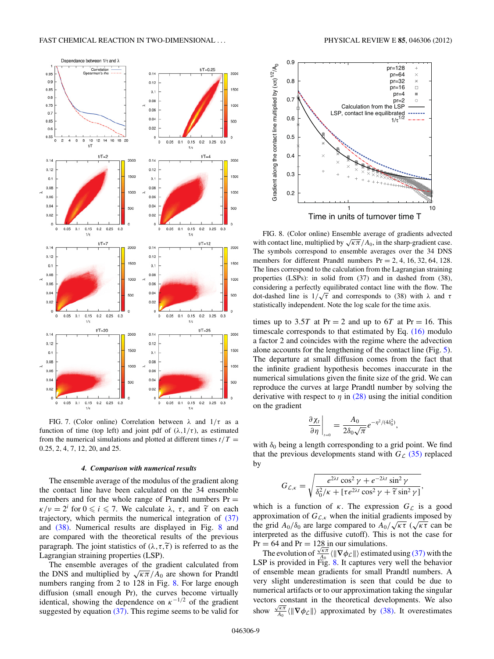<span id="page-8-0"></span>

FIG. 7. (Color online) Correlation between *λ* and 1*/τ* as a function of time (top left) and joint pdf of  $(\lambda, 1/\tau)$ , as estimated from the numerical simulations and plotted at different times  $t/T =$ 0*.*25*,* 2*,* 4*,* 7*,* 12*,* 20, and 25.

### *4. Comparison with numerical results*

The ensemble average of the modulus of the gradient along the contact line have been calculated on the 34 ensemble members and for the whole range of Prandtl numbers  $Pr =$  $\kappa/\nu = 2^i$  for  $0 \le i \le 7$ . We calculate  $\lambda$ ,  $\tau$ , and  $\tilde{\tau}$  on each *trainatomy* which normite the numerical integration of (27) trajectory, which permits the numerical integration of [\(37\)](#page-7-0) and [\(38\).](#page-7-0) Numerical results are displayed in Fig. 8 and are compared with the theoretical results of the previous paragraph. The joint statistics of  $(\lambda, \tau, \tilde{\tau})$  is referred to as the Lagraphian straining properties (*I*, **FD**). Lagrangian straining properties (LSP).

The ensemble averages of the gradient calculated from the DNS and multiplied by  $\sqrt{\kappa \pi}/A_0$  are shown for Prandtl numbers ranging from 2 to 128 in Fig. 8. For large enough diffusion (small enough Pr), the curves become virtually identical, showing the dependence on  $\kappa^{-1/2}$  of the gradient suggested by equation  $(37)$ . This regime seems to be valid for



FIG. 8. (Color online) Ensemble average of gradients advected with contact line, multiplied by  $\sqrt{\kappa \pi}/A_0$ , in the sharp-gradient case. The symbols correspond to ensemble averages over the 34 DNS members for different Prandtl numbers Pr = 2*,* 4*,* 16*,* 32*,* 64*,* 128. The lines correspond to the calculation from the Lagrangian straining properties (LSPs): in solid from (37) and in dashed from (38), considering a perfectly equilibrated contact line with the flow. The dot-dashed line is 1*/* <sup>√</sup>*<sup>τ</sup>* and corresponds to (38) with *<sup>λ</sup>* and *<sup>τ</sup>* statistically independent. Note the log scale for the time axis.

times up to 3.5*T* at Pr = 2 and up to 6*T* at Pr = 16. This timescale corresponds to that estimated by Eq. [\(16\)](#page-5-0) modulo a factor 2 and coincides with the regime where the advection alone accounts for the lengthening of the contact line (Fig. [5\)](#page-6-0). The departure at small diffusion comes from the fact that the infinite gradient hypothesis becomes inaccurate in the numerical simulations given the finite size of the grid. We can reproduce the curves at large Prandtl number by solving the derivative with respect to  $\eta$  in [\(28\)](#page-6-0) using the initial condition on the gradient

$$
\left.\frac{\partial \chi_t}{\partial \eta}\right|_{t=0} = \frac{A_0}{2\delta_0\sqrt{\pi}}e^{-\eta^2/(4\delta_0^2)},
$$

with  $\delta_0$  being a length corresponding to a grid point. We find that the previous developments stand with  $G_{\mathcal{L}}$  [\(35\)](#page-7-0) replaced by

$$
G_{\mathcal{L},\kappa} = \sqrt{\frac{e^{2\lambda t} \cos^2 \gamma + e^{-2\lambda t} \sin^2 \gamma}{\delta_0^2/\kappa + [\tau e^{2\lambda t} \cos^2 \gamma + \widetilde{\tau} \sin^2 \gamma]},}
$$

which is a function of  $\kappa$ . The expression  $G_{\mathcal{L}}$  is a good approximation of  $G_{\mathcal{L},\kappa}$  when the initial gradients imposed by  $\frac{1}{2}$  approximation of  $G_{\mathcal{L},\kappa}$  when the initial gradients imposed by the grid  $A_0/\delta_0$  are large compared to  $A_0/\sqrt{\kappa\tau}$  ( $\sqrt{\kappa\tau}$  can be interpreted as the diffusive cutoff). This is not the case for  $Pr = 64$  and  $Pr = 128$  in our simulations.

= 04 and Pr = 128 in our simulations.<br>The evolution of  $\frac{\sqrt{\kappa \pi}}{A_0}$   $\langle \|\nabla \phi_{\mathcal{L}}\| \rangle$  estimated using [\(37\)](#page-7-0) with the LSP is provided in Fig. 8. It captures very well the behavior of ensemble mean gradients for small Prandtl numbers. A very slight underestimation is seen that could be due to numerical artifacts or to our approximation taking the singular vectors constant in the theoretical developments. We also show  $\frac{\sqrt{\kappa \pi}}{A_0} \langle \Vert \nabla \phi_{\mathcal{L}} \Vert \rangle$  approximated by [\(38\).](#page-7-0) It overestimates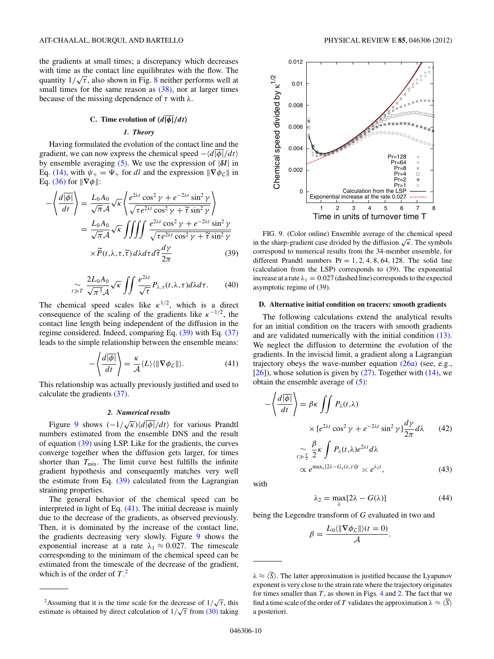<span id="page-9-0"></span>the gradients at small times; a discrepancy which decreases with time as the contact line equilibrates with the flow. The with time as the contact line equilibrates with the flow. The quantity  $1/\sqrt{\tau}$ , also shown in Fig. [8](#page-8-0) neither performs well at small times for the same reason as  $(38)$ , nor at larger times because of the missing dependence of *τ* with *λ*.

# **C.** Time evolution of  $\langle d | \phi | / dt \rangle$

## *1. Theory*

Having formulated the evolution of the contact line and the gradient, we can now express the chemical speed  $-\langle d|\phi|/dt\rangle$ by ensemble averaging [\(5\).](#page-2-0) We use the expression of |*δl*| in Eq. [\(14\),](#page-5-0) with  $\psi_+ = \Psi_+$  for *dl* and the expression  $\|\nabla \phi_{\mathcal{L}}\|$  in Eq. [\(36\)](#page-7-0) for  $\|\nabla \phi\|$ :

$$
-\left\langle \frac{d\overline{|\phi|}}{dt} \right\rangle = \frac{L_0 A_0}{\sqrt{\pi} A} \sqrt{\kappa} \left\langle \frac{e^{2\lambda t} \cos^2 \gamma + e^{-2\lambda t} \sin^2 \gamma}{\sqrt{\tau} e^{2\lambda t} \cos^2 \gamma + \tilde{\tau} \sin^2 \gamma} \right\rangle
$$
  
=  $\frac{L_0 A_0}{\sqrt{\pi} A} \sqrt{\kappa} \iiint \frac{e^{2\lambda t} \cos^2 \gamma + e^{-2\lambda t} \sin^2 \gamma}{\sqrt{\tau} e^{2\lambda t} \cos^2 \gamma + \tilde{\tau} \sin^2 \gamma}$   
 $\times \tilde{P}(t, \lambda, \tau, \tilde{\tau}) d\lambda d\tau d\tilde{\tau} \frac{d\gamma}{2\pi}$  (39)

$$
\int_{t>T} \frac{2L_0 A_0}{\sqrt{\pi^3} \mathcal{A}} \sqrt{\kappa} \iint \frac{e^{2\lambda t}}{\sqrt{\tau}} P_{\lambda, \tau}(t, \lambda, \tau) d\lambda d\tau.
$$
 (40)

The chemical speed scales like  $\kappa^{1/2}$ , which is a direct consequence of the scaling of the gradients like  $\kappa^{-1/2}$ , the contact line length being independent of the diffusion in the regime considered. Indeed, comparing Eq. (39) with Eq. [\(37\)](#page-7-0) leads to the simple relationship between the ensemble means:

$$
-\left\langle \frac{d\overline{|\phi|}}{dt} \right\rangle = \frac{\kappa}{\mathcal{A}} \langle L \rangle \langle ||\nabla \phi_{\mathcal{L}}|| \rangle. \tag{41}
$$

This relationship was actually previously justified and used to calculate the gradients [\(37\).](#page-7-0)

#### *2. Numerical results*

Figure 9 shows  $\left(-\frac{1}{\sqrt{\kappa}}\right)\left(\frac{d}{\phi}\right|/dt$  for various Prandtl numbers estimated from the ensemble DNS and the result of equation (39) using LSP. Like for the gradients, the curves converge together when the diffusion gets larger, for times shorter than  $T_{\text{mix}}$ . The limit curve best fulfills the infinite gradient hypothesis and consequently matches very well the estimate from Eq.  $(39)$  calculated from the Lagrangian straining properties.

The general behavior of the chemical speed can be interpreted in light of Eq. (41). The initial decrease is mainly due to the decrease of the gradients, as observed previously. Then, it is dominated by the increase of the contact line, the gradients decreasing very slowly. Figure 9 shows the exponential increase at a rate  $\lambda_1 \approx 0.027$ . The timescale corresponding to the minimum of the chemical speed can be estimated from the timescale of the decrease of the gradient, which is of the order of *T* . 2



FIG. 9. (Color online) Ensemble average of the chemical speed in the sharp-gradient case divided by the diffusion  $\sqrt{k}$ . The symbols correspond to numerical results from the 34-member ensemble, for different Prandtl numbers  $Pr = 1, 2, 4, 8, 64, 128$ . The solid line (calculation from the LSP) corresponds to (39). The exponential increase at a rate  $\lambda_1 = 0.027$  (dashed line) corresponds to the expected asymptotic regime of (39).

#### **D. Alternative initial condition on tracers: smooth gradients**

The following calculations extend the analytical results for an initial condition on the tracers with smooth gradients and are validated numerically with the initial condition [\(13\).](#page-4-0) We neglect the diffusion to determine the evolution of the gradients. In the inviscid limit, a gradient along a Lagrangian trajectory obeys the wave-number equation  $(26a)$  (see, e.g.,  $[26]$ ), whose solution is given by  $(27)$ . Together with  $(14)$ , we obtain the ensemble average of  $(5)$ :

$$
-\left\langle \frac{d\overline{|\phi|}}{dt} \right\rangle = \beta \kappa \iint P_{\lambda}(t,\lambda)
$$

$$
\times [e^{2\lambda t} \cos^2 \gamma + e^{-2\lambda t} \sin^2 \gamma] \frac{d\gamma}{2\pi} d\lambda \qquad (42)
$$

$$
\beta \int P_{\lambda}(\lambda) e^{2\lambda t} d\lambda
$$

$$
\int_{t \gg \frac{T}{2}}^{\infty} \frac{\beta}{2} \kappa \int P_{\lambda}(t, \lambda) e^{2\lambda t} d\lambda
$$
  
 
$$
\propto e^{\max_{\lambda} [2\lambda - G_{\epsilon}(\lambda, t)]t} \asymp e^{\lambda_2 t}, \qquad (43)
$$

with

$$
\lambda_2 = \max_{\lambda} [2\lambda - G(\lambda)] \tag{44}
$$

being the Legendre transform of *G* evaluated in two and

$$
\beta = \frac{L_0(\|\nabla \phi_{\mathcal{L}}\|)(t=0)}{\mathcal{A}}.
$$

<sup>&</sup>lt;sup>2</sup>Assuming that it is the time scale for the decrease of  $1/\sqrt{\tau}$ , this Examing that it is the time scale for the decrease of  $1/\sqrt{t}$ , thus estimate is obtained by direct calculation of  $1/\sqrt{\tau}$  from [\(30\)](#page-6-0) taking

 $\lambda \approx \langle \overline{S} \rangle$ . The latter approximation is justified because the Lyapunov exponent is very close to the strain rate where the trajectory originates for times smaller than  $T$ , as shown in Figs. [4](#page-4-0) and [2.](#page-3-0) The fact that we find a time scale of the order of *T* validates the approximation  $\lambda \approx \langle \overline{S} \rangle$ a posteriori.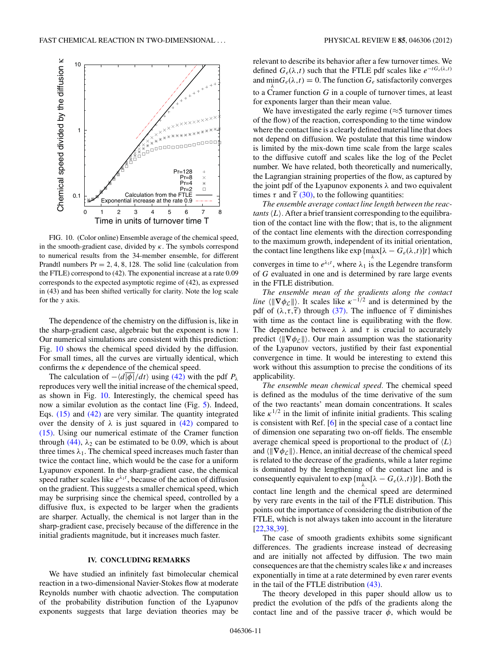<span id="page-10-0"></span>

FIG. 10. (Color online) Ensemble average of the chemical speed, in the smooth-gradient case, divided by *κ*. The symbols correspond to numerical results from the 34-member ensemble, for different Prandtl numbers  $Pr = 2, 4, 8, 128$ . The solid line (calculation from the FTLE) correspond to (42). The exponential increase at a rate 0.09 corresponds to the expected asymptotic regime of (42), as expressed in (43) and has been shifted vertically for clarity. Note the log scale for the *y* axis.

The dependence of the chemistry on the diffusion is, like in the sharp-gradient case, algebraic but the exponent is now 1. Our numerical simulations are consistent with this prediction: Fig. 10 shows the chemical speed divided by the diffusion. For small times, all the curves are virtually identical, which confirms the  $\kappa$  dependence of the chemical speed.

The calculation of  $-\langle d|\overline{\phi}|/dt\rangle$  using [\(42\)](#page-9-0) with the pdf  $P_\lambda$ reproduces very well the initial increase of the chemical speed, as shown in Fig. 10. Interestingly, the chemical speed has now a similar evolution as the contact line (Fig. [5\)](#page-6-0). Indeed, Eqs. [\(15\)](#page-5-0) and [\(42\)](#page-9-0) are very similar. The quantity integrated over the density of  $\lambda$  is just squared in [\(42\)](#page-9-0) compared to [\(15\).](#page-5-0) Using our numerical estimate of the Cramer function through  $(44)$ ,  $\lambda_2$  can be estimated to be 0.09, which is about three times  $\lambda_1$ . The chemical speed increases much faster than twice the contact line, which would be the case for a uniform Lyapunov exponent. In the sharp-gradient case, the chemical speed rather scales like  $e^{\lambda_1 t}$ , because of the action of diffusion on the gradient. This suggests a smaller chemical speed, which may be surprising since the chemical speed, controlled by a diffusive flux, is expected to be larger when the gradients are sharper. Actually, the chemical is not larger than in the sharp-gradient case, precisely because of the difference in the initial gradients magnitude, but it increases much faster.

## **IV. CONCLUDING REMARKS**

We have studied an infinitely fast bimolecular chemical reaction in a two-dimensional Navier-Stokes flow at moderate Reynolds number with chaotic advection. The computation of the probability distribution function of the Lyapunov exponents suggests that large deviation theories may be

relevant to describe its behavior after a few turnover times. We defined  $G_e(\lambda, t)$  such that the FTLE pdf scales like  $e^{-tG_e(\lambda, t)}$ and  $\min G_e(\lambda, t) = 0$ . The function  $G_e$  satisfactorily converges to a Cramer function *G* in a couple of turnover times, at least for exponents larger than their mean value.

We have investigated the early regime  $(\approx 5 \text{ turnover times})$ of the flow) of the reaction, corresponding to the time window where the contact line is a clearly defined material line that does not depend on diffusion. We postulate that this time window is limited by the mix-down time scale from the large scales to the diffusive cutoff and scales like the log of the Peclet number. We have related, both theoretically and numerically, the Lagrangian straining properties of the flow, as captured by the joint pdf of the Lyapunov exponents *λ* and two equivalent times  $\tau$  and  $\tilde{\tau}$  [\(30\),](#page-6-0) to the following quantities:<br>*The magnule guarance contrat line length here* 

*The ensemble average contact line length between the reactants*  $\langle L \rangle$ . After a brief transient corresponding to the equilibration of the contact line with the flow; that is, to the alignment of the contact line elements with the direction corresponding to the maximum growth, independent of its initial orientation, the contact line lengthens like  $\exp\{\max_{\lambda}[\lambda - G_e(\lambda, t)]t\}$  which converges in time to  $e^{\lambda_1 t}$ , where  $\lambda_1$  is the Legendre transform of *G* evaluated in one and is determined by rare large events in the FTLE distribution.

*The ensemble mean of the gradients along the contact line*  $\langle \|\nabla \phi_{\mathcal{L}}\|\rangle$ . It scales like  $\kappa^{-1/2}$  and is determined by the pdf of  $(\lambda, \tau, \tilde{\tau})$  through [\(37\).](#page-7-0) The influence of  $\tilde{\tau}$  diminishes with time as the contact line is equilibrating with the flow. The dependence between  $\lambda$  and  $\tau$  is crucial to accurately predict  $\langle \|\nabla \phi_{\mathcal{L}}\| \rangle$ . Our main assumption was the stationarity of the Lyapunov vectors, justified by their fast exponential convergence in time. It would be interesting to extend this work without this assumption to precise the conditions of its applicability.

*The ensemble mean chemical speed.* The chemical speed is defined as the modulus of the time derivative of the sum of the two reactants' mean domain concentrations. It scales like  $\kappa^{1/2}$  in the limit of infinite initial gradients. This scaling is consistent with Ref. [\[6\]](#page-11-0) in the special case of a contact line of dimension one separating two on-off fields. The ensemble average chemical speed is proportional to the product of  $\langle L \rangle$ and  $\langle \|\nabla \phi_{\mathcal{L}}\|\rangle$ . Hence, an initial decrease of the chemical speed is related to the decrease of the gradients, while a later regime is dominated by the lengthening of the contact line and is consequently equivalent to  $\exp{\{\max[\lambda - G_e(\lambda, t)]t\}}$ . Both the contact line length and the chemical speed are determined by very rare events in the tail of the FTLE distribution. This points out the importance of considering the distribution of the FTLE, which is not always taken into account in the literature [\[22,38,39\]](#page-11-0).

The case of smooth gradients exhibits some significant differences. The gradients increase instead of decreasing and are initially not affected by diffusion. The two main consequences are that the chemistry scales like *κ* and increases exponentially in time at a rate determined by even rarer events in the tail of the FTLE distribution [\(43\).](#page-9-0)

The theory developed in this paper should allow us to predict the evolution of the pdfs of the gradients along the contact line and of the passive tracer  $\phi$ , which would be